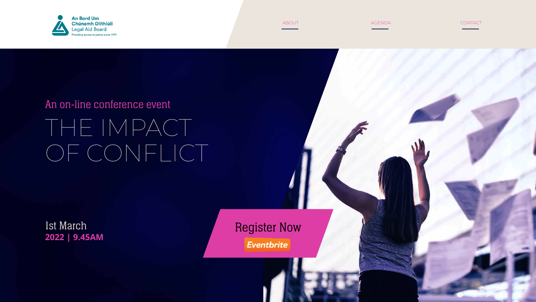

# An on-line conference event THE IMPACT OF CONFLICT

# Register Now **2022 | 9.45AM**



1st March



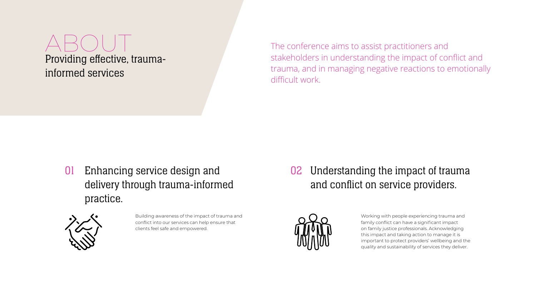Providing effective, traumainformed services

## 01 Enhancing service design and delivery through trauma-informed practice.



## 02 Understanding the impact of trauma and conflict on service providers.



The conference aims to assist practitioners and stakeholders in understanding the impact of conflict and

trauma, and in managing negative reactions to emotionally difficult work.

Building awareness of the impact of trauma and conflict into our services can help ensure that clients feel safe and empowered.

Working with people experiencing trauma and family conflict can have a significant impact on family justice professionals. Acknowledging this impact and taking action to manage it is important to protect providers' wellbeing and the quality and sustainability of services they deliver.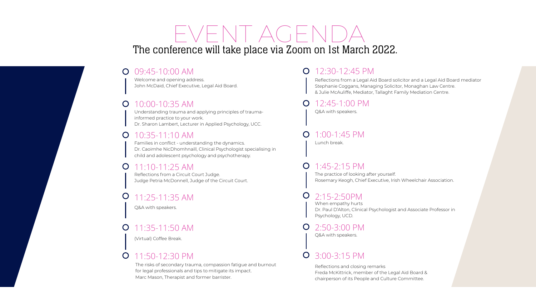Welcome and opening address. John McDaid, Chief Executive, Legal Aid Board.

#### 10:00-10:35 AM  $\overline{O}$

Understanding trauma and applying principles of traumainformed practice to your work. Dr. Sharon Lambert, Lecturer in Applied Psychology, UCC.

### **O** 10:35-11:10 AM

#### 11:10-11:25 AM  $\overline{O}$

#### 11:35-11:50 AM  $\overline{O}$

Families in conflict - understanding the dynamics. Dr. Caoimhe NicDhomhnaill, Clinical Psychologist specialising in child and adolescent psychology and psychotherapy.

12:30-12:45 PM  $\overline{O}$ 

Reflections from a Circuit Court Judge. Judge Petria McDonnell, Judge of the Circuit Court.

Q&A with speakers.

#### 12:45-1:00 PM  $\bigcirc$

#### 1:00-1:45 PM  $\overline{O}$

### 11:25-11:35 AM

(Virtual) Coffee Break.

## **0** 11:50-12:30 PM

#### $\bigcirc$ 1:45-2:15 PM

The risks of secondary trauma, compassion fatigue and burnout for legal professionals and tips to mitigate its impact. Marc Mason, Therapist and former barrister.

#### 3:00-3:15 PM $\overline{O}$

## The conference will take place via Zoom on 1st March 2022. EVENT AGENDA

### **O** 09:45-10:00 AM

Reflections from a Legal Aid Board solicitor and a Legal Aid Board mediator Stephanie Coggans, Managing Solicitor, Monaghan Law Centre. & Julie McAuliffe, Mediator, Tallaght Family Mediation Centre.

Q&A with speakers.

Lunch break.

The practice of looking after yourself. Rosemary Keogh, Chief Executive, Irish Wheelchair Association.

When empathy hurts Dr. Paul D'Alton, Clinical Psychologist and Associate Professor in Psychology, UCD.

### 2:15-2:50PM

Q&A with speakers.

## 2:50-3:00 PM

Reflections and closing remarks Freda McKittrick, member of the Legal Aid Board & chairperson of its People and Culture Committee.